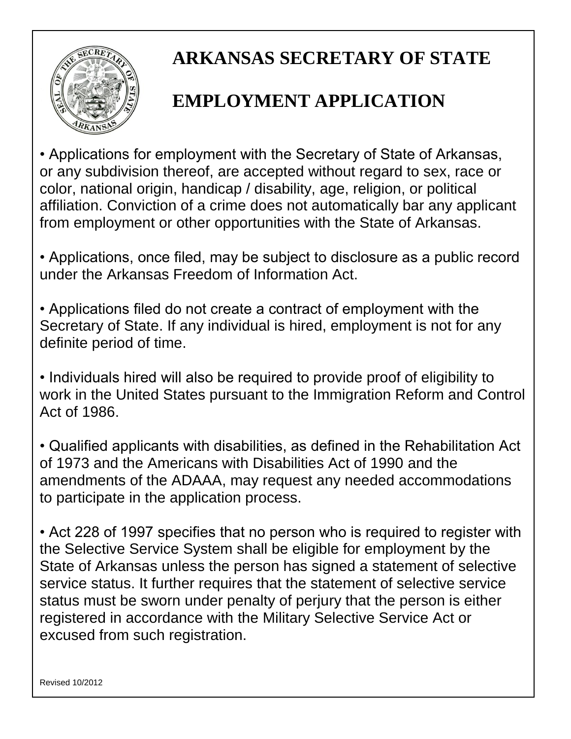

## **ARKANSAS SECRETARY OF STATE**

## **EMPLOYMENT APPLICATION**

• Applications for employment with the Secretary of State of Arkansas, or any subdivision thereof, are accepted without regard to sex, race or color, national origin, handicap / disability, age, religion, or political affiliation. Conviction of a crime does not automatically bar any applicant from employment or other opportunities with the State of Arkansas.

• Applications, once filed, may be subject to disclosure as a public record under the Arkansas Freedom of Information Act.

• Applications filed do not create a contract of employment with the Secretary of State. If any individual is hired, employment is not for any definite period of time.

• Individuals hired will also be required to provide proof of eligibility to work in the United States pursuant to the Immigration Reform and Control Act of 1986.

• Qualified applicants with disabilities, as defined in the Rehabilitation Act of 1973 and the Americans with Disabilities Act of 1990 and the amendments of the ADAAA, may request any needed accommodations to participate in the application process.

• Act 228 of 1997 specifies that no person who is required to register with the Selective Service System shall be eligible for employment by the State of Arkansas unless the person has signed a statement of selective service status. It further requires that the statement of selective service status must be sworn under penalty of perjury that the person is either registered in accordance with the Military Selective Service Act or excused from such registration.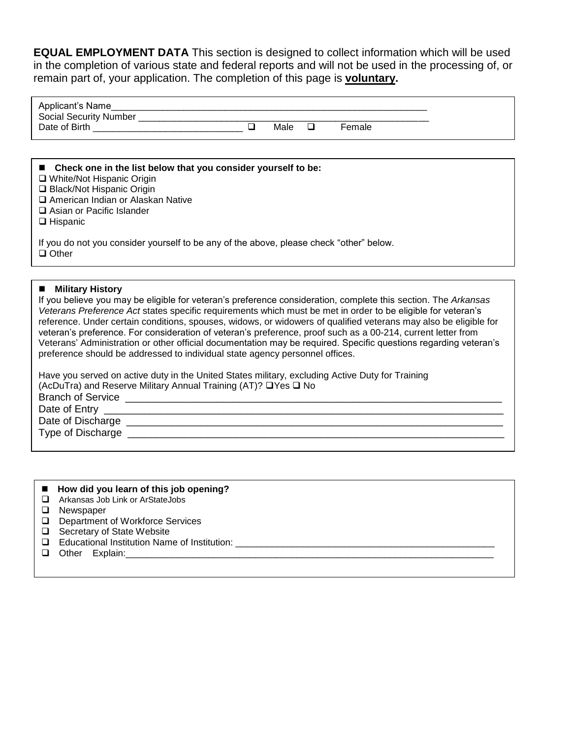**EQUAL EMPLOYMENT DATA** This section is designed to collect information which will be used in the completion of various state and federal reports and will not be used in the processing of, or remain part of, your application. The completion of this page is **voluntary.**

| Applicant's Name              |      |        |  |
|-------------------------------|------|--------|--|
| <b>Social Security Number</b> |      |        |  |
| Date of Birth                 | Male | Female |  |
|                               |      |        |  |

| ■ Check one in the list below that you consider yourself to be:<br>□ White/Not Hispanic Origin<br>□ Black/Not Hispanic Origin<br>American Indian or Alaskan Native<br>$\Box$ Asian or Pacific Islander<br>$\Box$ Hispanic |
|---------------------------------------------------------------------------------------------------------------------------------------------------------------------------------------------------------------------------|
| If you do not you consider yourself to be any of the above, please check "other" below.<br>$\Box$ Other                                                                                                                   |

#### **Military History**

If you believe you may be eligible for veteran's preference consideration, complete this section. The *Arkansas Veterans Preference Act* states specific requirements which must be met in order to be eligible for veteran's reference. Under certain conditions, spouses, widows, or widowers of qualified veterans may also be eligible for veteran's preference. For consideration of veteran's preference, proof such as a 00-214, current letter from Veterans' Administration or other official documentation may be required. Specific questions regarding veteran's preference should be addressed to individual state agency personnel offices.

Have you served on active duty in the United States military, excluding Active Duty for Training (AcDuTra) and Reserve Military Annual Training (AT)?  $\Box$  Yes  $\Box$  No Branch of Service \_\_\_\_\_\_\_\_\_\_\_\_\_\_\_\_\_\_\_\_\_\_\_\_\_\_\_\_\_\_\_\_\_\_\_\_\_\_\_\_\_\_\_\_\_\_\_\_\_\_\_\_\_\_\_\_\_\_\_\_\_\_\_\_\_\_ Date of Entry \_\_\_\_\_\_\_\_\_\_\_\_\_\_\_\_\_\_\_\_\_\_\_\_\_\_\_\_\_\_\_\_\_\_\_\_\_\_\_\_\_\_\_\_\_\_\_\_\_\_\_\_\_\_\_\_\_\_\_\_\_\_\_\_\_\_\_\_\_\_ Date of Discharge **Late and Allen and Allen and Allen and Allen and Allen and Allen and Allen and Allen and Al** Type of Discharge **Example 20** and the set of Discharge **Example 20** and the set of  $\overline{a}$ 

|        | ■ How did you learn of this job opening?     |
|--------|----------------------------------------------|
|        | Arkansas Job Link or ArStateJobs             |
|        | Newspaper                                    |
| $\Box$ | Department of Workforce Services             |
|        | $\Box$ Secretary of State Website            |
|        | Educational Institution Name of Institution: |
|        | Other Explain:                               |
|        |                                              |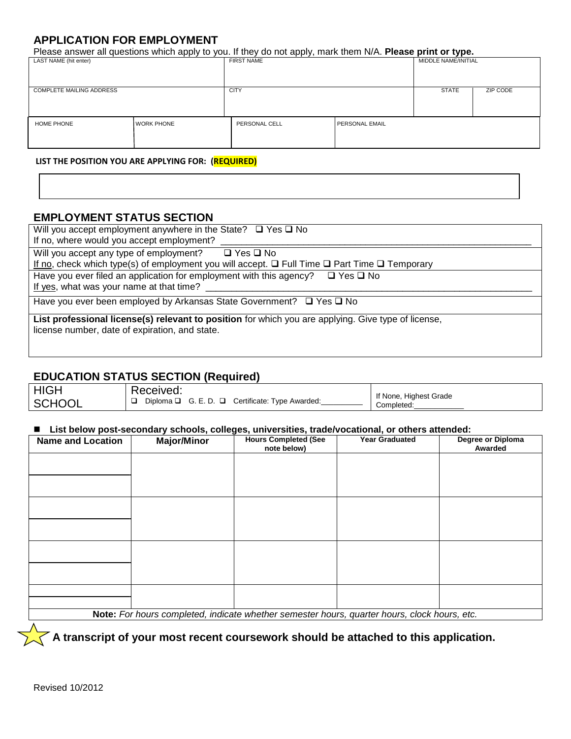## **APPLICATION FOR EMPLOYMENT**

Please answer all questions which apply to you. If they do not apply, mark them N/A. **Please print or type.**

| LAST NAME (hit enter)                          |              | <b>FIRST NAME</b> |                | MIDDLE NAME/INITIAL |                 |
|------------------------------------------------|--------------|-------------------|----------------|---------------------|-----------------|
| <b>COMPLETE MAILING ADDRESS</b><br><b>CITY</b> |              |                   |                | <b>STATE</b>        | <b>ZIP CODE</b> |
| HOME PHONE                                     | I WORK PHONE | PERSONAL CELL     | PERSONAL EMAIL |                     |                 |

#### **LIST THE POSITION YOU ARE APPLYING FOR: (REQUIRED)**

## **EMPLOYMENT STATUS SECTION**

| Will you accept employment anywhere in the State? $\Box$ Yes $\Box$ No<br>If no, where would you accept employment?                                                                   |
|---------------------------------------------------------------------------------------------------------------------------------------------------------------------------------------|
| Will you accept any type of employment? $\Box$ Yes $\Box$ No<br>If no, check which type(s) of employment you will accept. $\square$ Full Time $\square$ Part Time $\square$ Temporary |
| Have you ever filed an application for employment with this agency? $\Box$ Yes $\Box$ No<br>If yes, what was your name at that time?                                                  |
| Have you ever been employed by Arkansas State Government? $\Box$ Yes $\Box$ No                                                                                                        |
| List professional license(s) relevant to position for which you are applying. Give type of license,<br>license number, date of expiration, and state.                                 |

## **EDUCATION STATUS SECTION (Required)**

| <b>HIGH</b>   | Received:                                                 | If None, Highest Grade |
|---------------|-----------------------------------------------------------|------------------------|
| <b>SCHOOL</b> | Diploma $\Box$ G. E. D. $\Box$ Certificate: Type Awarded: | Completed              |

#### **List below post-secondary schools, colleges, universities, trade/vocational, or others attended:**

| <b>Name and Location</b> | <b>Major/Minor</b> | <b>Hours Completed (See</b><br>note below)                                                   | <b>Year Graduated</b> | Degree or Diploma<br>Awarded |
|--------------------------|--------------------|----------------------------------------------------------------------------------------------|-----------------------|------------------------------|
|                          |                    |                                                                                              |                       |                              |
|                          |                    |                                                                                              |                       |                              |
|                          |                    |                                                                                              |                       |                              |
|                          |                    |                                                                                              |                       |                              |
|                          |                    |                                                                                              |                       |                              |
|                          |                    |                                                                                              |                       |                              |
|                          |                    |                                                                                              |                       |                              |
|                          |                    |                                                                                              |                       |                              |
|                          |                    | Note: For hours completed, indicate whether semester hours, quarter hours, clock hours, etc. |                       |                              |

 **A transcript of your most recent coursework should be attached to this application.**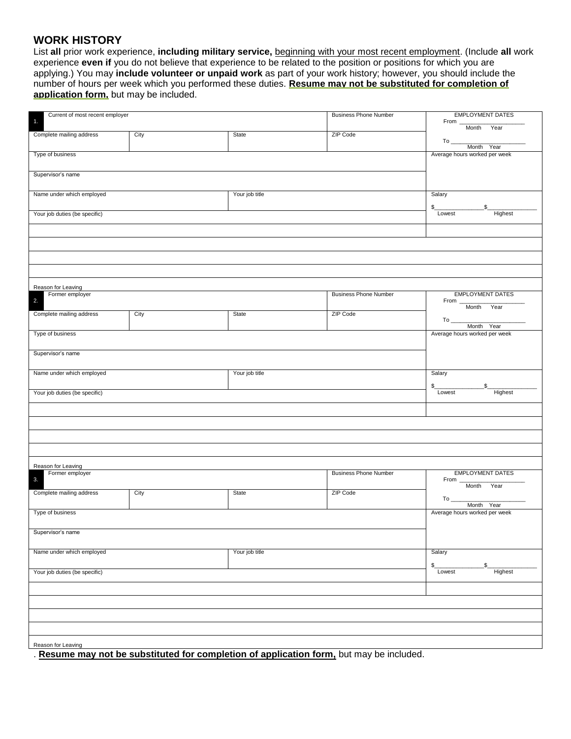### **WORK HISTORY**

List **all** prior work experience, **including military service,** beginning with your most recent employment. (Include **all** work experience **even if** you do not believe that experience to be related to the position or positions for which you are applying.) You may **include volunteer or unpaid work** as part of your work history; however, you should include the number of hours per week which you performed these duties. **Resume may not be substituted for completion of application form,** but may be included.

| Current of most recent employer<br>$\overline{1}$ . |      |                                                                    | <b>Business Phone Number</b> | <b>EMPLOYMENT DATES</b><br>From<br>Month Year     |
|-----------------------------------------------------|------|--------------------------------------------------------------------|------------------------------|---------------------------------------------------|
| Complete mailing address                            | City | <b>State</b>                                                       | ZIP Code                     | $To$ <sub>----</sub><br>Month Year                |
| Type of business                                    |      |                                                                    |                              | Average hours worked per week                     |
| Supervisor's name                                   |      |                                                                    |                              |                                                   |
| Name under which employed                           |      | Your job title                                                     |                              | Salary<br>$\mathbb{S}_-$<br>\$                    |
| Your job duties (be specific)                       |      |                                                                    |                              | Lowest<br>Highest                                 |
|                                                     |      |                                                                    |                              |                                                   |
|                                                     |      |                                                                    |                              |                                                   |
| Reason for Leaving                                  |      |                                                                    |                              |                                                   |
| Former employer<br>2.                               |      |                                                                    | <b>Business Phone Number</b> | <b>EMPLOYMENT DATES</b><br>From <u>Month Year</u> |
| Complete mailing address                            | City | State                                                              | ZIP Code                     | $To$ <sub>----</sub><br>Month Year                |
| Type of business                                    |      |                                                                    |                              | Average hours worked per week                     |
| Supervisor's name                                   |      |                                                                    |                              |                                                   |
| Name under which employed                           |      | Your job title                                                     |                              | Salary<br>\$                                      |
| Your job duties (be specific)                       |      |                                                                    |                              | Lowest<br>Highest                                 |
|                                                     |      |                                                                    |                              |                                                   |
|                                                     |      |                                                                    |                              |                                                   |
| Reason for Leaving                                  |      |                                                                    |                              |                                                   |
| Former employer<br>3.                               |      |                                                                    | <b>Business Phone Number</b> | <b>EMPLOYMENT DATES</b><br>From <u>Month</u> Year |
| Complete mailing address                            | City | State                                                              | ZIP Code                     | Month Year                                        |
| Type of business                                    |      |                                                                    |                              | Average hours worked per week                     |
| Supervisor's name                                   |      |                                                                    |                              |                                                   |
| Name under which employed                           |      | Your job title                                                     |                              | Salary<br>\$<br>S                                 |
| Your job duties (be specific)                       |      |                                                                    |                              | Highest<br>Lowest                                 |
|                                                     |      |                                                                    |                              |                                                   |
|                                                     |      |                                                                    |                              |                                                   |
| Reason for Leaving                                  |      |                                                                    |                              |                                                   |
| <b>DA011</b>                                        |      | subotituted fer eempletien of configation ferm but mou be included |                              |                                                   |

. **Resume may not be substituted for completion of application form,** but may be included.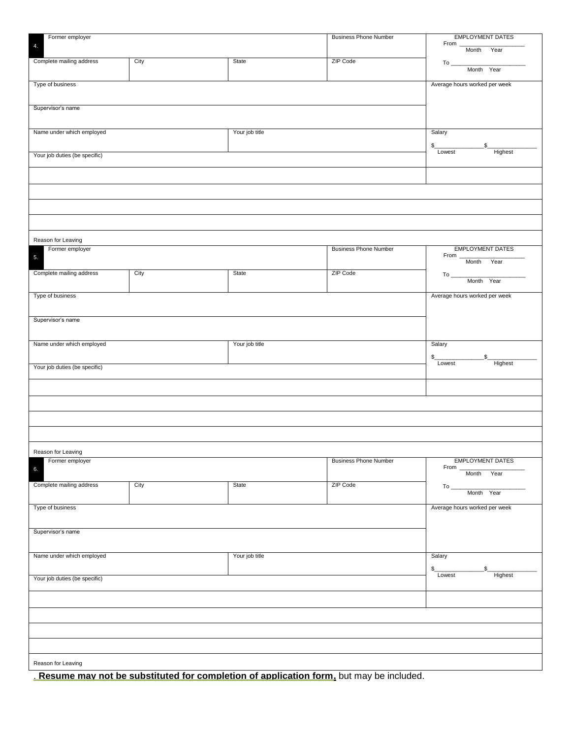| Former employer                       |      |                | <b>Business Phone Number</b> | <b>EMPLOYMENT DATES</b>                   |
|---------------------------------------|------|----------------|------------------------------|-------------------------------------------|
| 4.                                    |      |                |                              | From<br>Month Year                        |
|                                       |      |                | ZIP Code                     |                                           |
| Complete mailing address              | City | State          |                              | $To$ <sub>___</sub><br>Month Year         |
|                                       |      |                |                              |                                           |
| Type of business                      |      |                |                              | Average hours worked per week             |
|                                       |      |                |                              |                                           |
|                                       |      |                |                              |                                           |
| Supervisor's name                     |      |                |                              |                                           |
|                                       |      |                |                              |                                           |
| Name under which employed             |      | Your job title |                              | Salary                                    |
|                                       |      |                |                              |                                           |
|                                       |      |                |                              | \$<br>\$                                  |
| Your job duties (be specific)         |      |                |                              | Lowest<br>Highest                         |
|                                       |      |                |                              |                                           |
|                                       |      |                |                              |                                           |
|                                       |      |                |                              |                                           |
|                                       |      |                |                              |                                           |
|                                       |      |                |                              |                                           |
|                                       |      |                |                              |                                           |
|                                       |      |                |                              |                                           |
|                                       |      |                |                              |                                           |
|                                       |      |                |                              |                                           |
| Reason for Leaving<br>Former employer |      |                | <b>Business Phone Number</b> | <b>EMPLOYMENT DATES</b>                   |
|                                       |      |                |                              | From $\_\_$                               |
| 5.                                    |      |                |                              | Month Year                                |
| Complete mailing address              | City | State          | ZIP Code                     | $To$ <sub>----</sub>                      |
|                                       |      |                |                              | Month Year                                |
|                                       |      |                |                              |                                           |
| Type of business                      |      |                |                              | Average hours worked per week             |
|                                       |      |                |                              |                                           |
|                                       |      |                |                              |                                           |
| Supervisor's name                     |      |                |                              |                                           |
|                                       |      |                |                              |                                           |
| Name under which employed             |      | Your job title |                              | Salary                                    |
|                                       |      |                |                              |                                           |
|                                       |      |                |                              | \$<br>\$                                  |
| Your job duties (be specific)         |      |                |                              | Highest<br>Lowest                         |
|                                       |      |                |                              |                                           |
|                                       |      |                |                              |                                           |
|                                       |      |                |                              |                                           |
|                                       |      |                |                              |                                           |
|                                       |      |                |                              |                                           |
|                                       |      |                |                              |                                           |
|                                       |      |                |                              |                                           |
|                                       |      |                |                              |                                           |
|                                       |      |                |                              |                                           |
| Reason for Leaving<br>Former employer |      |                | <b>Business Phone Number</b> | <b>EMPLOYMENT DATES</b>                   |
| 6.                                    |      |                |                              | From                                      |
|                                       |      |                |                              | Month Year                                |
| Complete mailing address              | City | State          | ZIP Code                     | $To_$                                     |
|                                       |      |                |                              | Month Year                                |
|                                       |      |                |                              |                                           |
| Type of business                      |      |                |                              | Average hours worked per week             |
|                                       |      |                |                              |                                           |
| Supervisor's name                     |      |                |                              |                                           |
|                                       |      |                |                              |                                           |
|                                       |      |                |                              |                                           |
| Name under which employed             |      | Your job title |                              | Salary                                    |
|                                       |      |                |                              |                                           |
|                                       |      |                |                              | \$<br>$\mathfrak{s}$<br>Highest<br>Lowest |
| Your job duties (be specific)         |      |                |                              |                                           |
|                                       |      |                |                              |                                           |
|                                       |      |                |                              |                                           |
|                                       |      |                |                              |                                           |
|                                       |      |                |                              |                                           |
|                                       |      |                |                              |                                           |
|                                       |      |                |                              |                                           |
|                                       |      |                |                              |                                           |
|                                       |      |                |                              |                                           |
| Reason for Leaving                    |      |                |                              |                                           |
|                                       |      |                |                              |                                           |

. **Resume may not be substituted for completion of application form,** but may be included.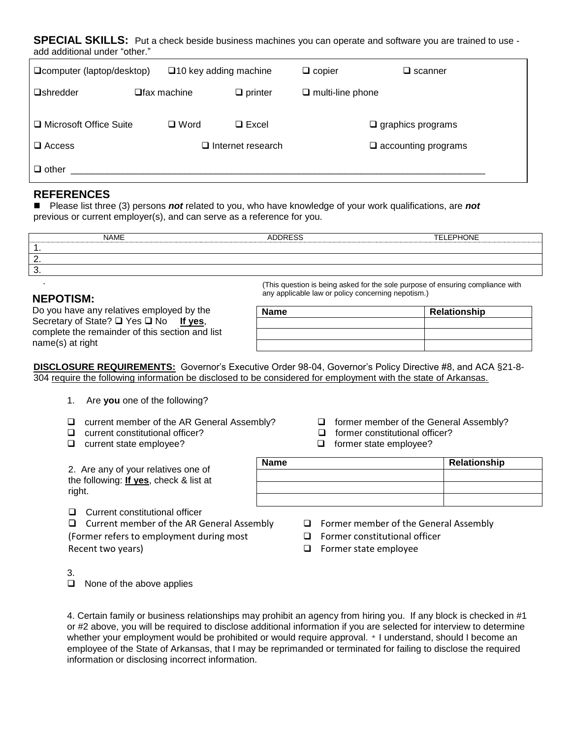**SPECIAL SKILLS:** Put a check beside business machines you can operate and software you are trained to use add additional under "other."

| □ computer (laptop/desktop) | $\square$ 10 key adding machine |                          | $\Box$ copier           | $\square$ scanner             |
|-----------------------------|---------------------------------|--------------------------|-------------------------|-------------------------------|
| <b>O</b> shredder           | $\Box$ fax machine              | $\Box$ printer           | $\Box$ multi-line phone |                               |
| □ Microsoft Office Suite    | $\Box$ Word                     | $\Box$ Excel             |                         | $\Box$ graphics programs      |
| $\Box$ Access               |                                 | $\Box$ Internet research |                         | $\square$ accounting programs |
| $\Box$ other                |                                 |                          |                         |                               |

## **REFERENCES**

 Please list three (3) persons *not* related to you, who have knowledge of your work qualifications, are *not* previous or current employer(s), and can serve as a reference for you.

|          | <b>NAME</b> | <b>ADDRESS</b> | TELEPHONE |
|----------|-------------|----------------|-----------|
|          |             |                |           |
| <u>_</u> |             |                |           |
| ີ        |             |                |           |

## **NEPOTISM:**

.

Do you have any relatives employed by the Secretary of State? □ Yes □ No **If yes**, complete the remainder of this section and list name(s) at right

| (This question is being asked for the sole purpose of ensuring compliance with |
|--------------------------------------------------------------------------------|
| any applicable law or policy concerning nepotism.)                             |
|                                                                                |

| <b>Name</b> | Relationship |
|-------------|--------------|
|             |              |
|             |              |
|             |              |

**DISCLOSURE REQUIREMENTS:** Governor's Executive Order 98-04, Governor's Policy Directive #8, and ACA §21-8- 304 require the following information be disclosed to be considered for employment with the state of Arkansas.

- 1. Are **you** one of the following?
- $\Box$  current member of the AR General Assembly?  $\Box$  former member of the General Assembly?
- 
- $\Box$  current state employee? former state employee?

2. Are any of your relatives one of the following: **If yes**, check & list at right.

**Q** Current constitutional officer

 $\Box$  Current member of the AR General Assembly  $\Box$  Former member of the General Assembly

Recent two years) **EXEC EXECUTE:** Recent two years) **EXECUTE:** Former state employee

- 
- $\Box$  current constitutional officer?  $\Box$  former constitutional officer?
	-

| <b>Name</b> | Relationship |
|-------------|--------------|
|             |              |
|             |              |
|             |              |

- 
- (Former refers to employment during most  $\Box$  Former constitutional officer
	-

3.

 $\Box$  None of the above applies

4. Certain family or business relationships may prohibit an agency from hiring you. If any block is checked in #1 or #2 above, you will be required to disclose additional information if you are selected for interview to determine whether your employment would be prohibited or would require approval.  $*$  I understand, should I become an employee of the State of Arkansas, that I may be reprimanded or terminated for failing to disclose the required information or disclosing incorrect information.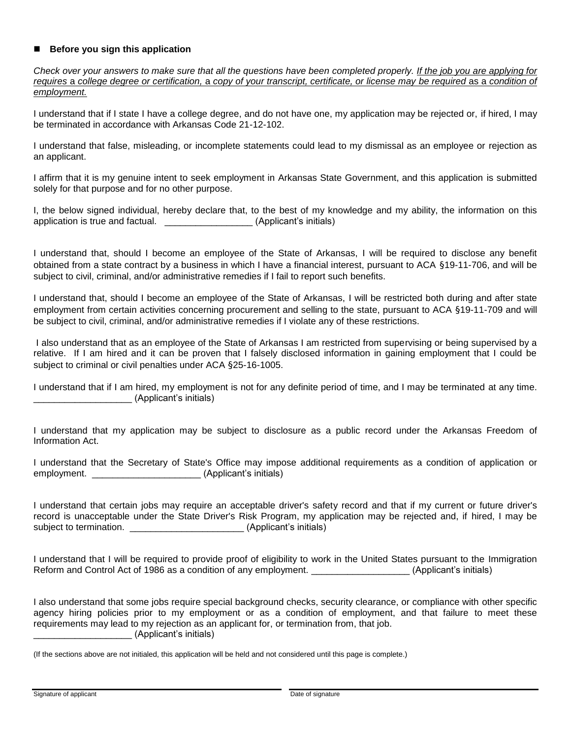#### ■ Before you sign this application

*Check over your answers to make sure that all the questions have been completed properly. If the job you are applying for requires* a *college degree or certification,* a *copy of your transcript, certificate, or license may be required* as a *condition of employment.*

I understand that if I state I have a college degree, and do not have one, my application may be rejected or, if hired, I may be terminated in accordance with Arkansas Code 21-12-102.

I understand that false, misleading, or incomplete statements could lead to my dismissal as an employee or rejection as an applicant.

I affirm that it is my genuine intent to seek employment in Arkansas State Government, and this application is submitted solely for that purpose and for no other purpose.

I, the below signed individual, hereby declare that, to the best of my knowledge and my ability, the information on this application is true and factual. \_\_\_\_\_\_\_\_\_\_\_\_\_\_\_\_\_\_\_\_\_\_\_\_(Applicant's initials)

I understand that, should I become an employee of the State of Arkansas, I will be required to disclose any benefit obtained from a state contract by a business in which I have a financial interest, pursuant to ACA §19-11-706, and will be subject to civil, criminal, and/or administrative remedies if I fail to report such benefits.

I understand that, should I become an employee of the State of Arkansas, I will be restricted both during and after state employment from certain activities concerning procurement and selling to the state, pursuant to ACA §19-11-709 and will be subject to civil, criminal, and/or administrative remedies if I violate any of these restrictions.

I also understand that as an employee of the State of Arkansas I am restricted from supervising or being supervised by a relative. If I am hired and it can be proven that I falsely disclosed information in gaining employment that I could be subject to criminal or civil penalties under ACA §25-16-1005.

I understand that if I am hired, my employment is not for any definite period of time, and I may be terminated at any time. \_\_\_\_\_\_\_\_\_\_\_\_\_\_\_\_\_\_\_ (Applicant's initials)

I understand that my application may be subject to disclosure as a public record under the Arkansas Freedom of Information Act.

I understand that the Secretary of State's Office may impose additional requirements as a condition of application or employment.  $\blacksquare$ 

I understand that certain jobs may require an acceptable driver's safety record and that if my current or future driver's record is unacceptable under the State Driver's Risk Program, my application may be rejected and, if hired, I may be subject to termination. \_\_\_\_\_\_\_\_\_\_\_\_\_\_\_\_\_\_\_\_\_\_\_\_\_\_\_\_\_\_\_\_\_\_(Applicant's initials)

I understand that I will be required to provide proof of eligibility to work in the United States pursuant to the Immigration Reform and Control Act of 1986 as a condition of any employment. \_\_\_\_\_\_\_\_\_\_\_\_\_\_\_\_\_\_\_\_\_(Applicant's initials)

I also understand that some jobs require special background checks, security clearance, or compliance with other specific agency hiring policies prior to my employment or as a condition of employment, and that failure to meet these requirements may lead to my rejection as an applicant for, or termination from, that job. \_\_\_\_\_\_\_\_\_\_\_\_\_\_\_\_\_\_\_ (Applicant's initials)

<sup>(</sup>If the sections above are not initialed, this application will be held and not considered until this page is complete.)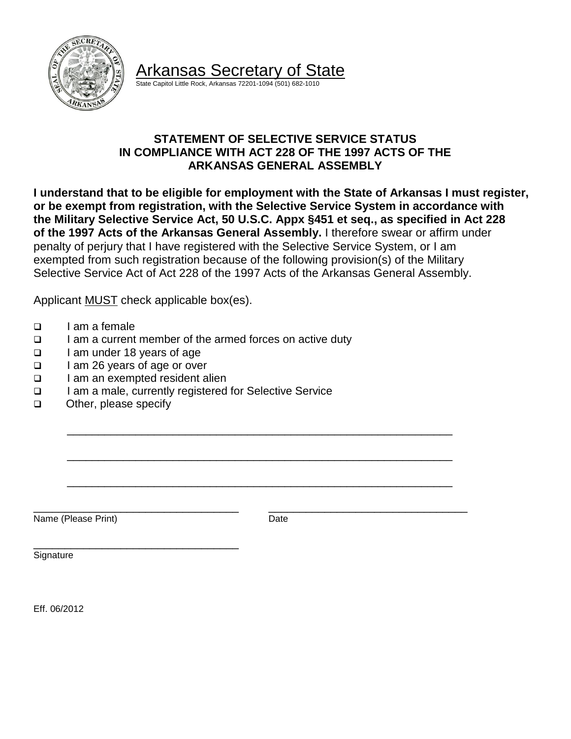

Arkansas Secretary of State

State Capitol Little Rock, Arkansas 72201-1094 (501) 682-1010

## **STATEMENT OF SELECTIVE SERVICE STATUS IN COMPLIANCE WITH ACT 228 OF THE 1997 ACTS OF THE ARKANSAS GENERAL ASSEMBLY**

**I understand that to be eligible for employment with the State of Arkansas I must register, or be exempt from registration, with the Selective Service System in accordance with the Military Selective Service Act, 50 U.S.C. Appx §451 et seq., as specified in Act 228 of the 1997 Acts of the Arkansas General Assembly.** I therefore swear or affirm under penalty of perjury that I have registered with the Selective Service System, or I am exempted from such registration because of the following provision(s) of the Military Selective Service Act of Act 228 of the 1997 Acts of the Arkansas General Assembly.

Applicant MUST check applicable box(es).

- $\Box$  I am a female
- $\Box$  I am a current member of the armed forces on active duty
- □ I am under 18 years of age
- □ I am 26 years of age or over
- I am an exempted resident alien

\_\_\_\_\_\_\_\_\_\_\_\_\_\_\_\_\_\_\_\_\_\_\_\_\_\_\_\_\_\_\_\_\_

- □ I am a male, currently registered for Selective Service
- □ Other, please specify

Name (Please Print) Date

\_\_\_\_\_\_\_\_\_\_\_\_\_\_\_\_\_\_\_\_\_\_\_\_\_\_\_\_\_\_\_\_\_ \_\_\_\_\_\_\_\_\_\_\_\_\_\_\_\_\_\_\_\_\_\_\_\_\_\_\_\_\_\_\_\_

\_\_\_\_\_\_\_\_\_\_\_\_\_\_\_\_\_\_\_\_\_\_\_\_\_\_\_\_\_\_\_\_\_\_\_\_\_\_\_\_\_\_\_\_\_\_\_\_\_\_\_\_\_\_\_\_\_\_\_\_\_\_

\_\_\_\_\_\_\_\_\_\_\_\_\_\_\_\_\_\_\_\_\_\_\_\_\_\_\_\_\_\_\_\_\_\_\_\_\_\_\_\_\_\_\_\_\_\_\_\_\_\_\_\_\_\_\_\_\_\_\_\_\_\_

\_\_\_\_\_\_\_\_\_\_\_\_\_\_\_\_\_\_\_\_\_\_\_\_\_\_\_\_\_\_\_\_\_\_\_\_\_\_\_\_\_\_\_\_\_\_\_\_\_\_\_\_\_\_\_\_\_\_\_\_\_\_

**Signature** 

Eff. 06/2012